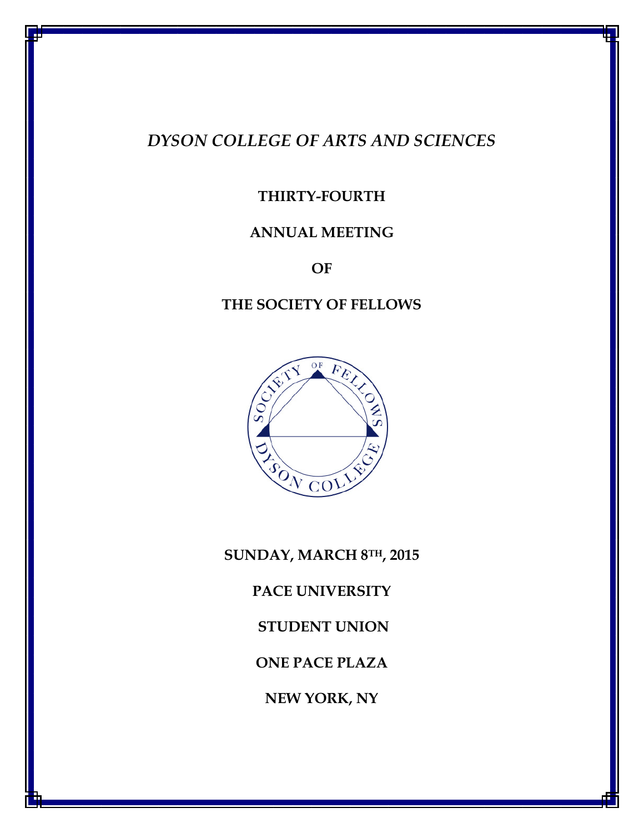# DYSON COLLEGE OF ARTS AND SCIENCES

## THIRTY-FOURTH

## ANNUAL MEETING

OF

## THE SOCIETY OF FELLOWS



SUNDAY, MARCH 8TH, 2015 PACE UNIVERSITY STUDENT UNION ONE PACE PLAZA NEW YORK, NY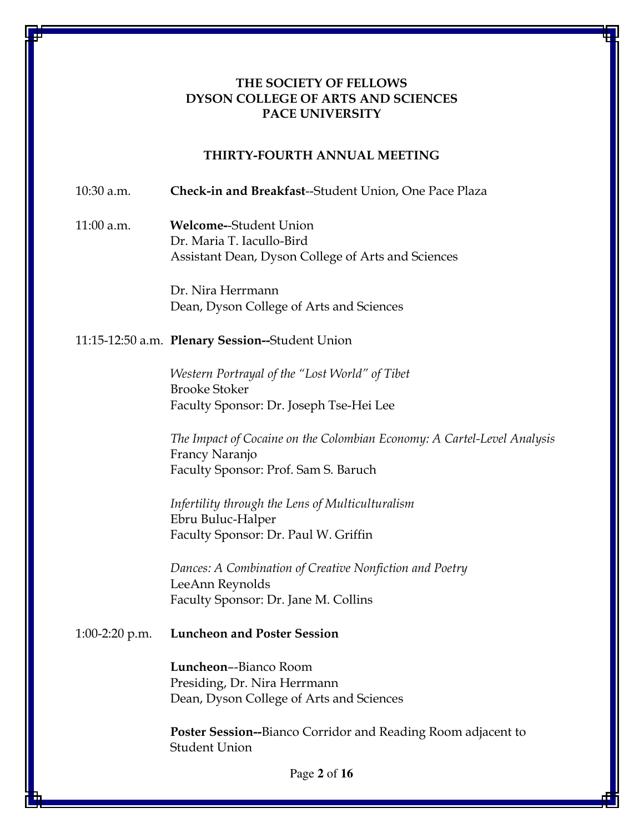### THE SOCIETY OF FELLOWS DYSON COLLEGE OF ARTS AND SCIENCES PACE UNIVERSITY

#### THIRTY-FOURTH ANNUAL MEETING

10:30 a.m. Check-in and Breakfast--Student Union, One Pace Plaza

## 11:00 a.m. Welcome--Student Union Dr. Maria T. Iacullo-Bird Assistant Dean, Dyson College of Arts and Sciences

Dr. Nira Herrmann Dean, Dyson College of Arts and Sciences

#### 11:15-12:50 a.m. Plenary Session--Student Union

Western Portrayal of the "Lost World" of Tibet Brooke Stoker Faculty Sponsor: Dr. Joseph Tse-Hei Lee

The Impact of Cocaine on the Colombian Economy: A Cartel-Level Analysis Francy Naranjo Faculty Sponsor: Prof. Sam S. Baruch

Infertility through the Lens of Multiculturalism Ebru Buluc-Halper Faculty Sponsor: Dr. Paul W. Griffin

Dances: A Combination of Creative Nonfiction and Poetry LeeAnn Reynolds Faculty Sponsor: Dr. Jane M. Collins

#### 1:00-2:20 p.m. Luncheon and Poster Session

Luncheon–-Bianco Room Presiding, Dr. Nira Herrmann Dean, Dyson College of Arts and Sciences

Poster Session--Bianco Corridor and Reading Room adjacent to Student Union

Page **2** of **16**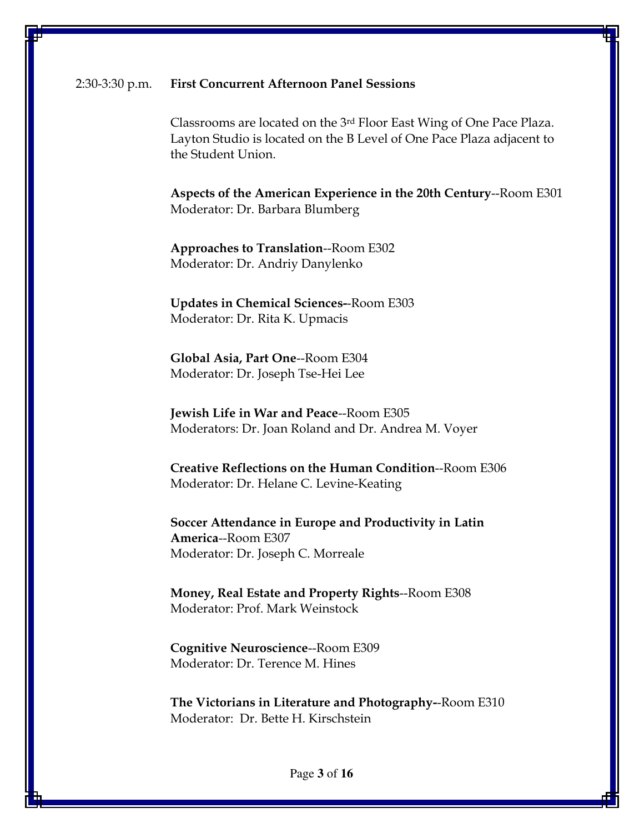#### 2:30-3:30 p.m. First Concurrent Afternoon Panel Sessions

Classrooms are located on the 3rd Floor East Wing of One Pace Plaza. Layton Studio is located on the B Level of One Pace Plaza adjacent to the Student Union.

 Aspects of the American Experience in the 20th Century--Room E301 Moderator: Dr. Barbara Blumberg

 Approaches to Translation--Room E302 Moderator: Dr. Andriy Danylenko

 Updates in Chemical Sciences--Room E303 Moderator: Dr. Rita K. Upmacis

 Global Asia, Part One--Room E304 Moderator: Dr. Joseph Tse-Hei Lee

 Jewish Life in War and Peace--Room E305 Moderators: Dr. Joan Roland and Dr. Andrea M. Voyer

 Creative Reflections on the Human Condition--Room E306 Moderator: Dr. Helane C. Levine-Keating

 Soccer Attendance in Europe and Productivity in Latin America--Room E307 Moderator: Dr. Joseph C. Morreale

 Money, Real Estate and Property Rights--Room E308 Moderator: Prof. Mark Weinstock

 Cognitive Neuroscience--Room E309 Moderator: Dr. Terence M. Hines

 The Victorians in Literature and Photography--Room E310 Moderator: Dr. Bette H. Kirschstein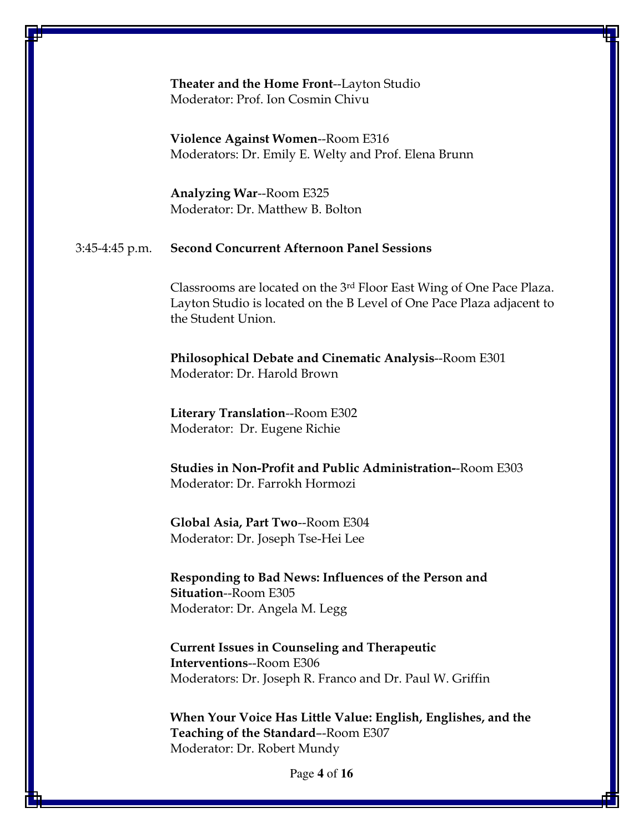#### Theater and the Home Front--Layton Studio Moderator: Prof. Ion Cosmin Chivu

Violence Against Women--Room E316 Moderators: Dr. Emily E. Welty and Prof. Elena Brunn

 Analyzing War--Room E325 Moderator: Dr. Matthew B. Bolton

#### 3:45-4:45 p.m. Second Concurrent Afternoon Panel Sessions

Classrooms are located on the 3rd Floor East Wing of One Pace Plaza. Layton Studio is located on the B Level of One Pace Plaza adjacent to the Student Union.

 Philosophical Debate and Cinematic Analysis--Room E301 Moderator: Dr. Harold Brown

 Literary Translation--Room E302 Moderator: Dr. Eugene Richie

 Studies in Non-Profit and Public Administration--Room E303 Moderator: Dr. Farrokh Hormozi

 Global Asia, Part Two--Room E304 Moderator: Dr. Joseph Tse-Hei Lee

 Responding to Bad News: Influences of the Person and Situation--Room E305 Moderator: Dr. Angela M. Legg

 Current Issues in Counseling and Therapeutic Interventions--Room E306 Moderators: Dr. Joseph R. Franco and Dr. Paul W. Griffin

 When Your Voice Has Little Value: English, Englishes, and the Teaching of the Standard–-Room E307 Moderator: Dr. Robert Mundy

Page **4** of **16**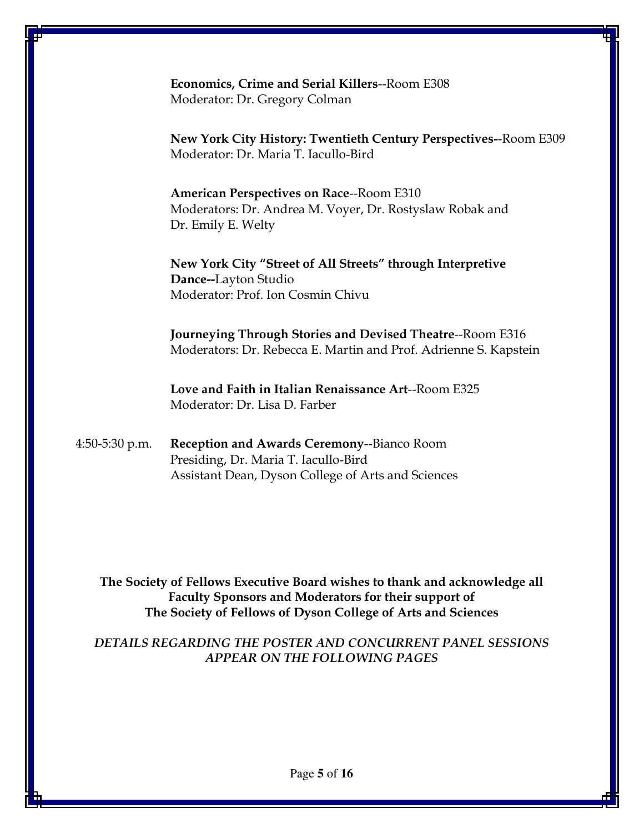Economics, Crime and Serial Killers--Room E308 Moderator: Dr. Gregory Colman

 New York City History: Twentieth Century Perspectives--Room E309 Moderator: Dr. Maria T. Iacullo-Bird

 American Perspectives on Race--Room E310 Moderators: Dr. Andrea M. Voyer, Dr. Rostyslaw Robak and Dr. Emily E. Welty

New York City "Street of All Streets" through Interpretive Dance--Layton Studio Moderator: Prof. Ion Cosmin Chivu

 Journeying Through Stories and Devised Theatre--Room E316 Moderators: Dr. Rebecca E. Martin and Prof. Adrienne S. Kapstein

 Love and Faith in Italian Renaissance Art--Room E325 Moderator: Dr. Lisa D. Farber

4:50-5:30 p.m. Reception and Awards Ceremony--Bianco Room Presiding, Dr. Maria T. Iacullo-Bird Assistant Dean, Dyson College of Arts and Sciences

The Society of Fellows Executive Board wishes to thank and acknowledge all Faculty Sponsors and Moderators for their support of The Society of Fellows of Dyson College of Arts and Sciences

DETAILS REGARDING THE POSTER AND CONCURRENT PANEL SESSIONS APPEAR ON THE FOLLOWING PAGES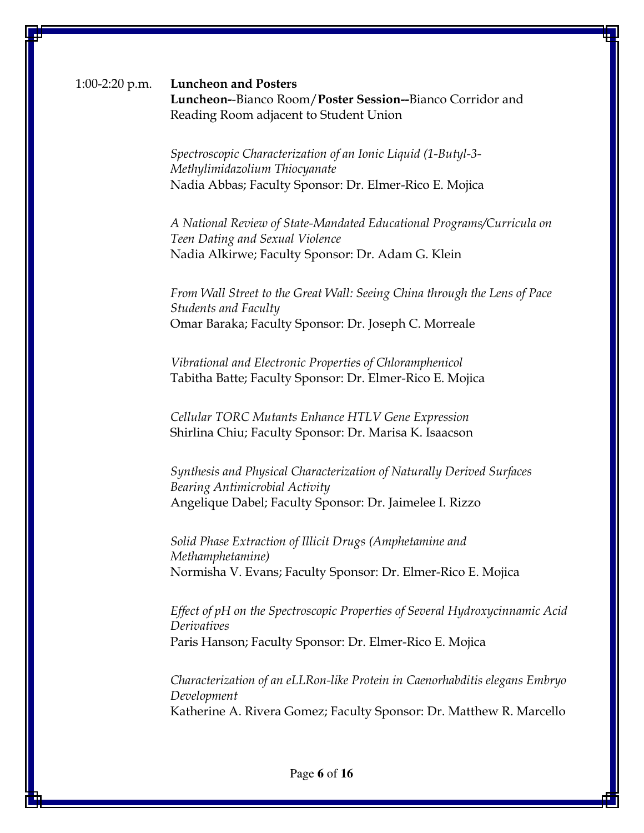### 1:00-2:20 p.m. Luncheon and Posters Luncheon--Bianco Room/Poster Session--Bianco Corridor and Reading Room adjacent to Student Union

Spectroscopic Characterization of an Ionic Liquid (1-Butyl-3- Methylimidazolium Thiocyanate Nadia Abbas; Faculty Sponsor: Dr. Elmer-Rico E. Mojica

A National Review of State-Mandated Educational Programs/Curricula on Teen Dating and Sexual Violence Nadia Alkirwe; Faculty Sponsor: Dr. Adam G. Klein

From Wall Street to the Great Wall: Seeing China through the Lens of Pace Students and Faculty Omar Baraka; Faculty Sponsor: Dr. Joseph C. Morreale

Vibrational and Electronic Properties of Chloramphenicol Tabitha Batte; Faculty Sponsor: Dr. Elmer-Rico E. Mojica

Cellular TORC Mutants Enhance HTLV Gene Expression Shirlina Chiu; Faculty Sponsor: Dr. Marisa K. Isaacson

Synthesis and Physical Characterization of Naturally Derived Surfaces Bearing Antimicrobial Activity Angelique Dabel; Faculty Sponsor: Dr. Jaimelee I. Rizzo

Solid Phase Extraction of Illicit Drugs (Amphetamine and Methamphetamine) Normisha V. Evans; Faculty Sponsor: Dr. Elmer-Rico E. Mojica

Effect of pH on the Spectroscopic Properties of Several Hydroxycinnamic Acid **Derivatives** Paris Hanson; Faculty Sponsor: Dr. Elmer-Rico E. Mojica

Characterization of an eLLRon-like Protein in Caenorhabditis elegans Embryo Development Katherine A. Rivera Gomez; Faculty Sponsor: Dr. Matthew R. Marcello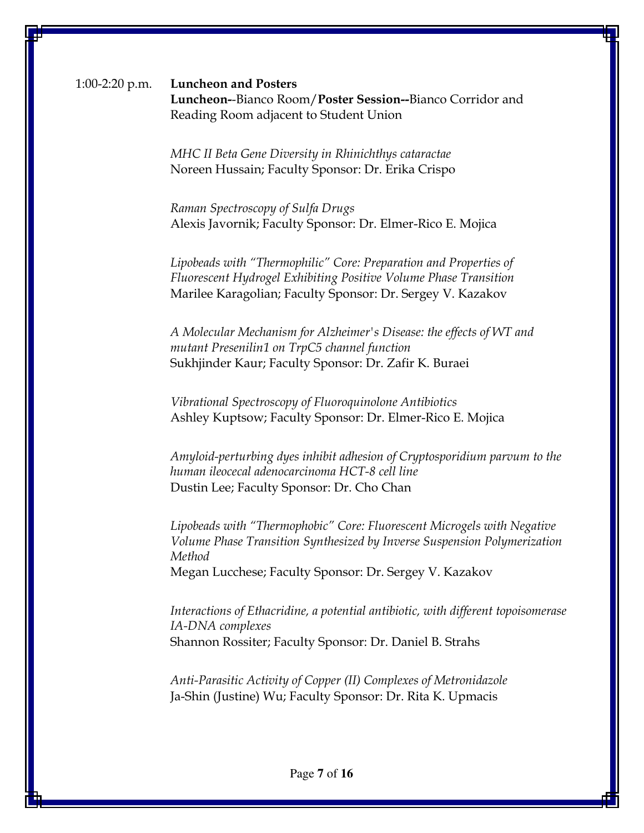### 1:00-2:20 p.m. Luncheon and Posters Luncheon--Bianco Room/Poster Session--Bianco Corridor and Reading Room adjacent to Student Union

MHC II Beta Gene Diversity in Rhinichthys cataractae Noreen Hussain; Faculty Sponsor: Dr. Erika Crispo

Raman Spectroscopy of Sulfa Drugs Alexis Javornik; Faculty Sponsor: Dr. Elmer-Rico E. Mojica

Lipobeads with "Thermophilic" Core: Preparation and Properties of Fluorescent Hydrogel Exhibiting Positive Volume Phase Transition Marilee Karagolian; Faculty Sponsor: Dr. Sergey V. Kazakov

A Molecular Mechanism for Alzheimer's Disease: the effects of WT and mutant Presenilin1 on TrpC5 channel function Sukhjinder Kaur; Faculty Sponsor: Dr. Zafir K. Buraei

Vibrational Spectroscopy of Fluoroquinolone Antibiotics Ashley Kuptsow; Faculty Sponsor: Dr. Elmer-Rico E. Mojica

Amyloid-perturbing dyes inhibit adhesion of Cryptosporidium parvum to the human ileocecal adenocarcinoma HCT-8 cell line Dustin Lee; Faculty Sponsor: Dr. Cho Chan

Lipobeads with "Thermophobic" Core: Fluorescent Microgels with Negative Volume Phase Transition Synthesized by Inverse Suspension Polymerization Method Megan Lucchese; Faculty Sponsor: Dr. Sergey V. Kazakov

Interactions of Ethacridine, a potential antibiotic, with different topoisomerase IA-DNA complexes Shannon Rossiter; Faculty Sponsor: Dr. Daniel B. Strahs

Anti-Parasitic Activity of Copper (II) Complexes of Metronidazole Ja-Shin (Justine) Wu; Faculty Sponsor: Dr. Rita K. Upmacis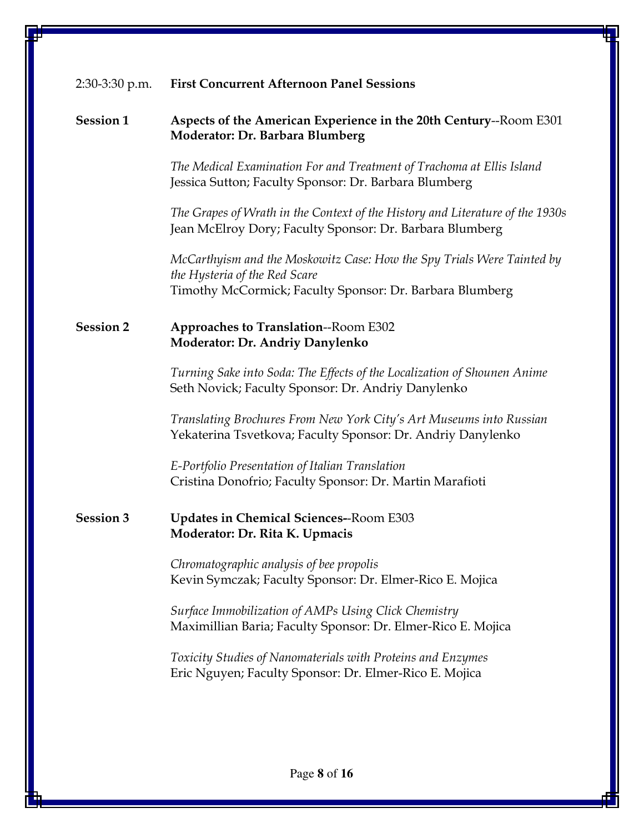| $2:30-3:30$ p.m. | <b>First Concurrent Afternoon Panel Sessions</b>                                                                                          |
|------------------|-------------------------------------------------------------------------------------------------------------------------------------------|
| <b>Session 1</b> | Aspects of the American Experience in the 20th Century--Room E301<br>Moderator: Dr. Barbara Blumberg                                      |
|                  | The Medical Examination For and Treatment of Trachoma at Ellis Island<br>Jessica Sutton; Faculty Sponsor: Dr. Barbara Blumberg            |
|                  | The Grapes of Wrath in the Context of the History and Literature of the 1930s<br>Jean McElroy Dory; Faculty Sponsor: Dr. Barbara Blumberg |
|                  | McCarthyism and the Moskowitz Case: How the Spy Trials Were Tainted by<br>the Hysteria of the Red Scare                                   |
|                  | Timothy McCormick; Faculty Sponsor: Dr. Barbara Blumberg                                                                                  |
| <b>Session 2</b> | <b>Approaches to Translation--Room E302</b><br><b>Moderator: Dr. Andriy Danylenko</b>                                                     |
|                  | Turning Sake into Soda: The Effects of the Localization of Shounen Anime<br>Seth Novick; Faculty Sponsor: Dr. Andriy Danylenko            |
|                  | Translating Brochures From New York City's Art Museums into Russian<br>Yekaterina Tsvetkova; Faculty Sponsor: Dr. Andriy Danylenko        |
|                  | E-Portfolio Presentation of Italian Translation<br>Cristina Donofrio; Faculty Sponsor: Dr. Martin Marafioti                               |
| <b>Session 3</b> | <b>Updates in Chemical Sciences--Room E303</b><br>Moderator: Dr. Rita K. Upmacis                                                          |
|                  | Chromatographic analysis of bee propolis<br>Kevin Symczak; Faculty Sponsor: Dr. Elmer-Rico E. Mojica                                      |
|                  | Surface Immobilization of AMPs Using Click Chemistry<br>Maximillian Baria; Faculty Sponsor: Dr. Elmer-Rico E. Mojica                      |
|                  | Toxicity Studies of Nanomaterials with Proteins and Enzymes<br>Eric Nguyen; Faculty Sponsor: Dr. Elmer-Rico E. Mojica                     |
|                  |                                                                                                                                           |
|                  |                                                                                                                                           |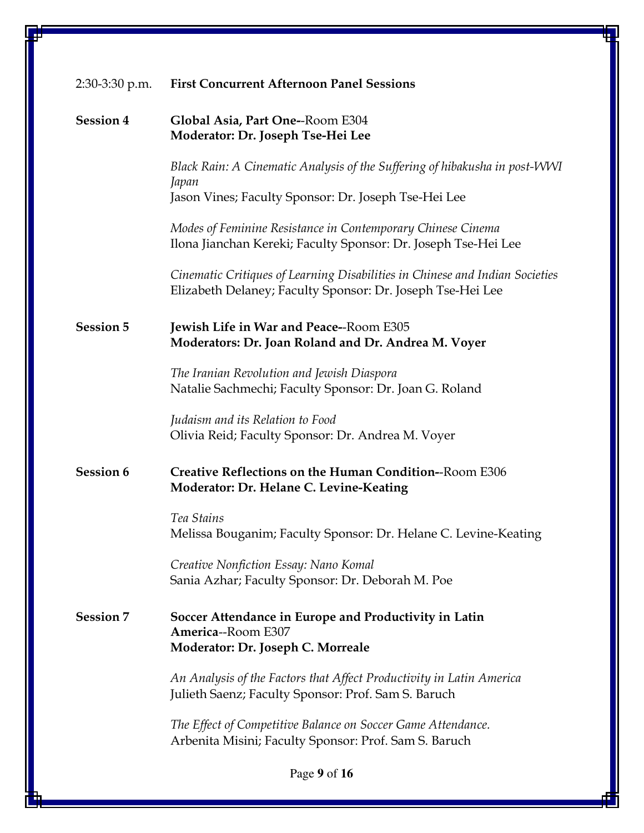| $2:30-3:30$ p.m. | <b>First Concurrent Afternoon Panel Sessions</b>                                                                                           |
|------------------|--------------------------------------------------------------------------------------------------------------------------------------------|
| <b>Session 4</b> | Global Asia, Part One--Room E304<br>Moderator: Dr. Joseph Tse-Hei Lee                                                                      |
|                  | Black Rain: A Cinematic Analysis of the Suffering of hibakusha in post-WWI<br>Japan                                                        |
|                  | Jason Vines; Faculty Sponsor: Dr. Joseph Tse-Hei Lee                                                                                       |
|                  | Modes of Feminine Resistance in Contemporary Chinese Cinema<br>Ilona Jianchan Kereki; Faculty Sponsor: Dr. Joseph Tse-Hei Lee              |
|                  | Cinematic Critiques of Learning Disabilities in Chinese and Indian Societies<br>Elizabeth Delaney; Faculty Sponsor: Dr. Joseph Tse-Hei Lee |
| <b>Session 5</b> | Jewish Life in War and Peace--Room E305<br>Moderators: Dr. Joan Roland and Dr. Andrea M. Voyer                                             |
|                  | The Iranian Revolution and Jewish Diaspora<br>Natalie Sachmechi; Faculty Sponsor: Dr. Joan G. Roland                                       |
|                  | Judaism and its Relation to Food<br>Olivia Reid; Faculty Sponsor: Dr. Andrea M. Voyer                                                      |
| <b>Session 6</b> | Creative Reflections on the Human Condition--Room E306<br>Moderator: Dr. Helane C. Levine-Keating                                          |
|                  | Tea Stains<br>Melissa Bouganim; Faculty Sponsor: Dr. Helane C. Levine-Keating                                                              |
|                  | Creative Nonfiction Essay: Nano Komal<br>Sania Azhar; Faculty Sponsor: Dr. Deborah M. Poe                                                  |
| <b>Session 7</b> | Soccer Attendance in Europe and Productivity in Latin<br>America--Room E307                                                                |
|                  | Moderator: Dr. Joseph C. Morreale                                                                                                          |
|                  | An Analysis of the Factors that Affect Productivity in Latin America<br>Julieth Saenz; Faculty Sponsor: Prof. Sam S. Baruch                |
|                  | The Effect of Competitive Balance on Soccer Game Attendance.<br>Arbenita Misini; Faculty Sponsor: Prof. Sam S. Baruch                      |
|                  | Page 9 of 16                                                                                                                               |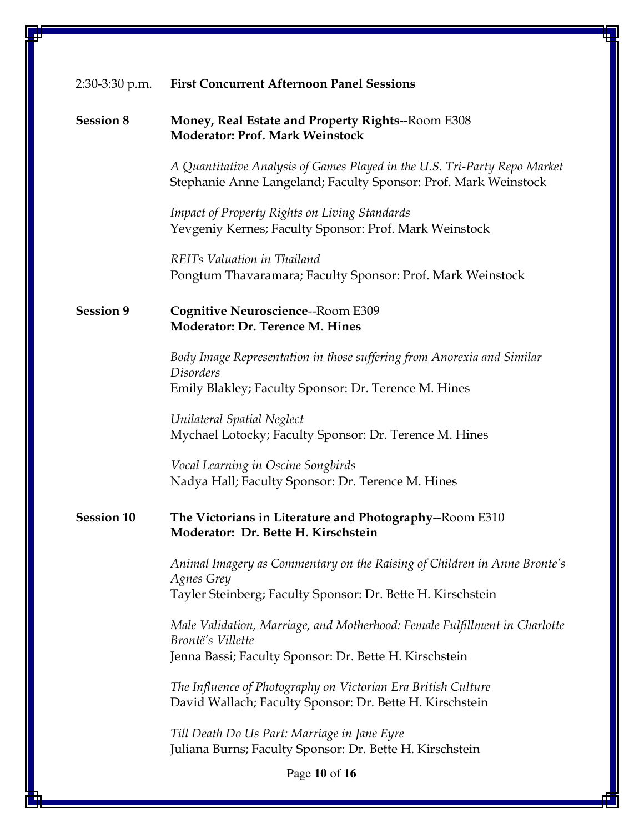| 2:30-3:30 p.m.    | <b>First Concurrent Afternoon Panel Sessions</b>                                                                                                   |
|-------------------|----------------------------------------------------------------------------------------------------------------------------------------------------|
| <b>Session 8</b>  | <b>Money, Real Estate and Property Rights--Room E308</b><br><b>Moderator: Prof. Mark Weinstock</b>                                                 |
|                   | A Quantitative Analysis of Games Played in the U.S. Tri-Party Repo Market<br>Stephanie Anne Langeland; Faculty Sponsor: Prof. Mark Weinstock       |
|                   | <b>Impact of Property Rights on Living Standards</b><br>Yevgeniy Kernes; Faculty Sponsor: Prof. Mark Weinstock                                     |
|                   | REITs Valuation in Thailand<br>Pongtum Thavaramara; Faculty Sponsor: Prof. Mark Weinstock                                                          |
| <b>Session 9</b>  | Cognitive Neuroscience--Room E309<br>Moderator: Dr. Terence M. Hines                                                                               |
|                   | Body Image Representation in those suffering from Anorexia and Similar<br><b>Disorders</b><br>Emily Blakley; Faculty Sponsor: Dr. Terence M. Hines |
|                   | Unilateral Spatial Neglect<br>Mychael Lotocky; Faculty Sponsor: Dr. Terence M. Hines                                                               |
|                   | Vocal Learning in Oscine Songbirds<br>Nadya Hall; Faculty Sponsor: Dr. Terence M. Hines                                                            |
| <b>Session 10</b> | The Victorians in Literature and Photography--Room E310<br>Moderator: Dr. Bette H. Kirschstein                                                     |
|                   | Animal Imagery as Commentary on the Raising of Children in Anne Bronte's<br>Agnes Grey                                                             |
|                   | Tayler Steinberg; Faculty Sponsor: Dr. Bette H. Kirschstein                                                                                        |
|                   | Male Validation, Marriage, and Motherhood: Female Fulfillment in Charlotte<br>Brontë's Villette                                                    |
|                   | Jenna Bassi; Faculty Sponsor: Dr. Bette H. Kirschstein                                                                                             |
|                   | The Influence of Photography on Victorian Era British Culture<br>David Wallach; Faculty Sponsor: Dr. Bette H. Kirschstein                          |
|                   | Till Death Do Us Part: Marriage in Jane Eyre<br>Juliana Burns; Faculty Sponsor: Dr. Bette H. Kirschstein                                           |
|                   | Page 10 of 16                                                                                                                                      |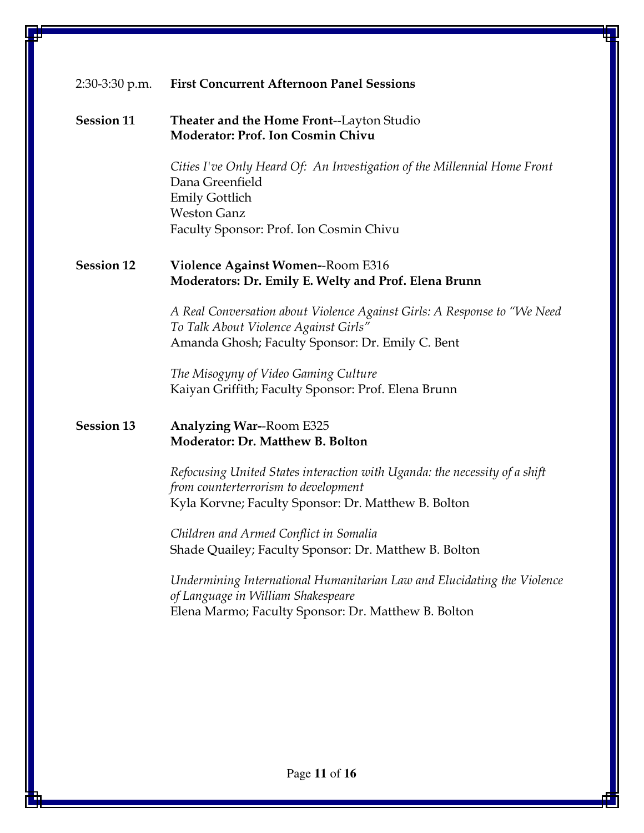| 2:30-3:30 p.m.    | <b>First Concurrent Afternoon Panel Sessions</b>                                                                                                                                      |
|-------------------|---------------------------------------------------------------------------------------------------------------------------------------------------------------------------------------|
| <b>Session 11</b> | Theater and the Home Front--Layton Studio<br><b>Moderator: Prof. Ion Cosmin Chivu</b>                                                                                                 |
|                   | Cities I've Only Heard Of: An Investigation of the Millennial Home Front<br>Dana Greenfield<br><b>Emily Gottlich</b><br><b>Weston Ganz</b><br>Faculty Sponsor: Prof. Ion Cosmin Chivu |
| <b>Session 12</b> | <b>Violence Against Women--Room E316</b><br><b>Moderators: Dr. Emily E. Welty and Prof. Elena Brunn</b>                                                                               |
|                   | A Real Conversation about Violence Against Girls: A Response to "We Need<br>To Talk About Violence Against Girls"<br>Amanda Ghosh; Faculty Sponsor: Dr. Emily C. Bent                 |
|                   | The Misogyny of Video Gaming Culture<br>Kaiyan Griffith; Faculty Sponsor: Prof. Elena Brunn                                                                                           |
| <b>Session 13</b> | <b>Analyzing War--Room E325</b><br>Moderator: Dr. Matthew B. Bolton                                                                                                                   |
|                   | Refocusing United States interaction with Uganda: the necessity of a shift<br>from counterterrorism to development<br>Kyla Korvne; Faculty Sponsor: Dr. Matthew B. Bolton             |
|                   | Children and Armed Conflict in Somalia<br>Shade Quailey; Faculty Sponsor: Dr. Matthew B. Bolton                                                                                       |
|                   | Undermining International Humanitarian Law and Elucidating the Violence<br>of Language in William Shakespeare<br>Elena Marmo; Faculty Sponsor: Dr. Matthew B. Bolton                  |
|                   |                                                                                                                                                                                       |
|                   |                                                                                                                                                                                       |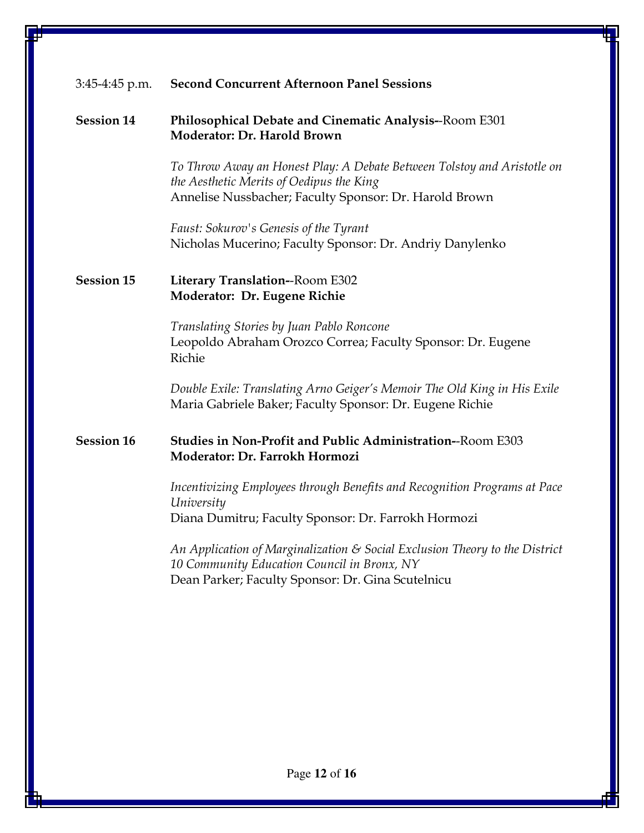### 3:45-4:45 p.m. Second Concurrent Afternoon Panel Sessions

#### Session 14 Philosophical Debate and Cinematic Analysis--Room E301 Moderator: Dr. Harold Brown

To Throw Away an Honest Play: A Debate Between Tolstoy and Aristotle on the Aesthetic Merits of Oedipus the King Annelise Nussbacher; Faculty Sponsor: Dr. Harold Brown

Faust: Sokurov's Genesis of the Tyrant Nicholas Mucerino; Faculty Sponsor: Dr. Andriy Danylenko

### Session 15 Literary Translation--Room E302 Moderator: Dr. Eugene Richie

Translating Stories by Juan Pablo Roncone Leopoldo Abraham Orozco Correa; Faculty Sponsor: Dr. Eugene Richie

Double Exile: Translating Arno Geiger's Memoir The Old King in His Exile Maria Gabriele Baker; Faculty Sponsor: Dr. Eugene Richie

### Session 16 Studies in Non-Profit and Public Administration--Room E303 Moderator: Dr. Farrokh Hormozi

Incentivizing Employees through Benefits and Recognition Programs at Pace University Diana Dumitru; Faculty Sponsor: Dr. Farrokh Hormozi

An Application of Marginalization & Social Exclusion Theory to the District 10 Community Education Council in Bronx, NY Dean Parker; Faculty Sponsor: Dr. Gina Scutelnicu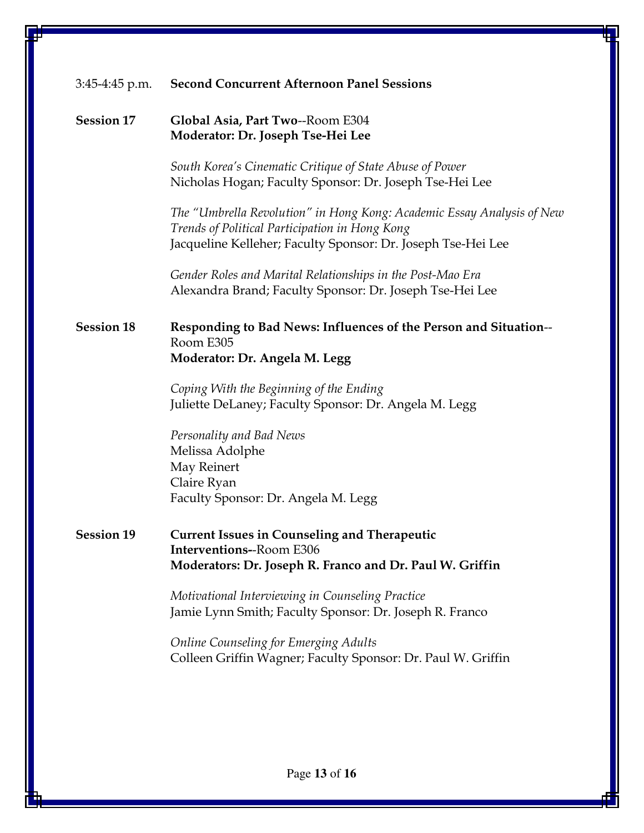| $3:45-4:45$ p.m.  | <b>Second Concurrent Afternoon Panel Sessions</b>                                                                                                                                        |
|-------------------|------------------------------------------------------------------------------------------------------------------------------------------------------------------------------------------|
| <b>Session 17</b> | Global Asia, Part Two--Room E304<br>Moderator: Dr. Joseph Tse-Hei Lee                                                                                                                    |
|                   | South Korea's Cinematic Critique of State Abuse of Power<br>Nicholas Hogan; Faculty Sponsor: Dr. Joseph Tse-Hei Lee                                                                      |
|                   | The "Umbrella Revolution" in Hong Kong: Academic Essay Analysis of New<br>Trends of Political Participation in Hong Kong<br>Jacqueline Kelleher; Faculty Sponsor: Dr. Joseph Tse-Hei Lee |
|                   | Gender Roles and Marital Relationships in the Post-Mao Era<br>Alexandra Brand; Faculty Sponsor: Dr. Joseph Tse-Hei Lee                                                                   |
| <b>Session 18</b> | Responding to Bad News: Influences of the Person and Situation--<br>Room E305<br>Moderator: Dr. Angela M. Legg                                                                           |
|                   | Coping With the Beginning of the Ending<br>Juliette DeLaney; Faculty Sponsor: Dr. Angela M. Legg                                                                                         |
|                   | Personality and Bad News<br>Melissa Adolphe<br>May Reinert<br>Claire Ryan<br>Faculty Sponsor: Dr. Angela M. Legg                                                                         |
| <b>Session 19</b> | <b>Current Issues in Counseling and Therapeutic</b><br><b>Interventions--Room E306</b><br>Moderators: Dr. Joseph R. Franco and Dr. Paul W. Griffin                                       |
|                   | Motivational Interviewing in Counseling Practice<br>Jamie Lynn Smith; Faculty Sponsor: Dr. Joseph R. Franco                                                                              |
|                   | <b>Online Counseling for Emerging Adults</b><br>Colleen Griffin Wagner; Faculty Sponsor: Dr. Paul W. Griffin                                                                             |
|                   |                                                                                                                                                                                          |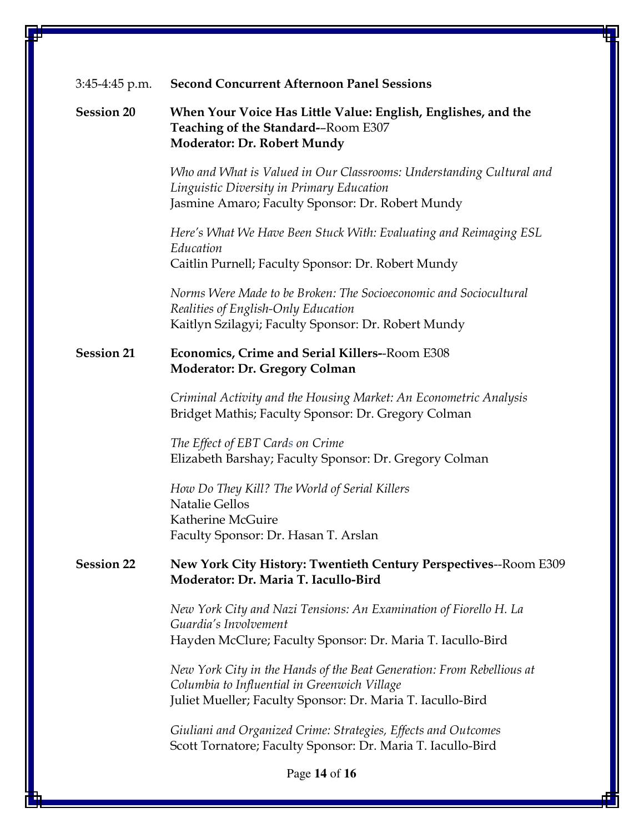| 3:45-4:45 p.m.    | <b>Second Concurrent Afternoon Panel Sessions</b>                                                                                                                                   |
|-------------------|-------------------------------------------------------------------------------------------------------------------------------------------------------------------------------------|
| <b>Session 20</b> | When Your Voice Has Little Value: English, Englishes, and the<br>Teaching of the Standard--Room E307<br>Moderator: Dr. Robert Mundy                                                 |
|                   | Who and What is Valued in Our Classrooms: Understanding Cultural and<br>Linguistic Diversity in Primary Education<br>Jasmine Amaro; Faculty Sponsor: Dr. Robert Mundy               |
|                   | Here's What We Have Been Stuck With: Evaluating and Reimaging ESL<br>Education<br>Caitlin Purnell; Faculty Sponsor: Dr. Robert Mundy                                                |
|                   | Norms Were Made to be Broken: The Socioeconomic and Sociocultural<br>Realities of English-Only Education<br>Kaitlyn Szilagyi; Faculty Sponsor: Dr. Robert Mundy                     |
| <b>Session 21</b> | Economics, Crime and Serial Killers--Room E308<br><b>Moderator: Dr. Gregory Colman</b>                                                                                              |
|                   | Criminal Activity and the Housing Market: An Econometric Analysis<br>Bridget Mathis; Faculty Sponsor: Dr. Gregory Colman                                                            |
|                   | The Effect of EBT Cards on Crime<br>Elizabeth Barshay; Faculty Sponsor: Dr. Gregory Colman                                                                                          |
|                   | How Do They Kill? The World of Serial Killers<br><b>Natalie Gellos</b><br>Katherine McGuire<br>Faculty Sponsor: Dr. Hasan T. Arslan                                                 |
| <b>Session 22</b> | New York City History: Twentieth Century Perspectives--Room E309<br>Moderator: Dr. Maria T. Iacullo-Bird                                                                            |
|                   | New York City and Nazi Tensions: An Examination of Fiorello H. La<br>Guardia's Involvement<br>Hayden McClure; Faculty Sponsor: Dr. Maria T. Iacullo-Bird                            |
|                   | New York City in the Hands of the Beat Generation: From Rebellious at<br>Columbia to Influential in Greenwich Village<br>Juliet Mueller; Faculty Sponsor: Dr. Maria T. Iacullo-Bird |
|                   | Giuliani and Organized Crime: Strategies, Effects and Outcomes<br>Scott Tornatore; Faculty Sponsor: Dr. Maria T. Iacullo-Bird                                                       |

Page **14** of **16**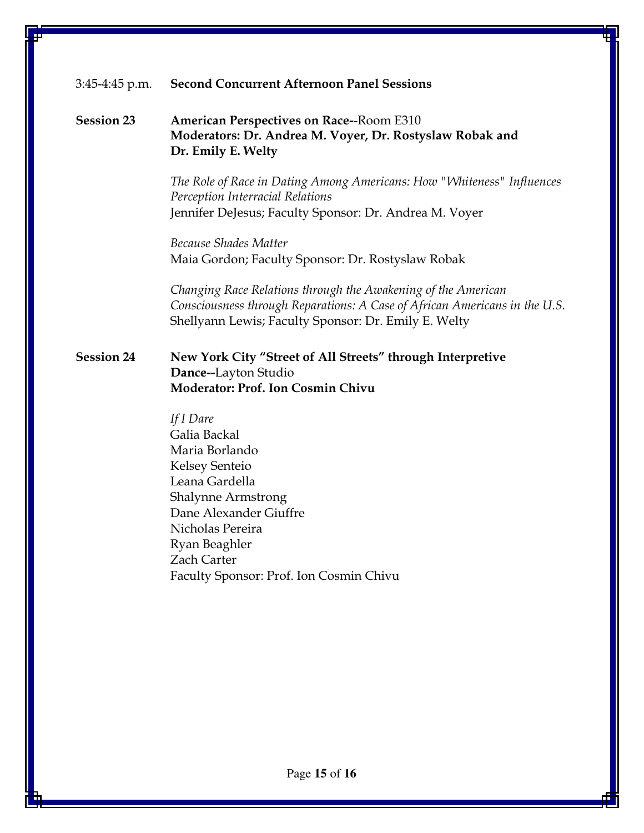### 3:45-4:45 p.m. Second Concurrent Afternoon Panel Sessions

### Session 23 American Perspectives on Race--Room E310 Moderators: Dr. Andrea M. Voyer, Dr. Rostyslaw Robak and Dr. Emily E. Welty

The Role of Race in Dating Among Americans: How "Whiteness" Influences Perception Interracial Relations Jennifer DeJesus; Faculty Sponsor: Dr. Andrea M. Voyer

Because Shades Matter Maia Gordon; Faculty Sponsor: Dr. Rostyslaw Robak

Changing Race Relations through the Awakening of the American Consciousness through Reparations: A Case of African Americans in the U.S. Shellyann Lewis; Faculty Sponsor: Dr. Emily E. Welty

#### Session 24 New York City "Street of All Streets" through Interpretive Dance--Layton Studio Moderator: Prof. Ion Cosmin Chivu

If I Dare Galia Backal Maria Borlando Kelsey Senteio Leana Gardella Shalynne Armstrong Dane Alexander Giuffre Nicholas Pereira Ryan Beaghler Zach Carter Faculty Sponsor: Prof. Ion Cosmin Chivu